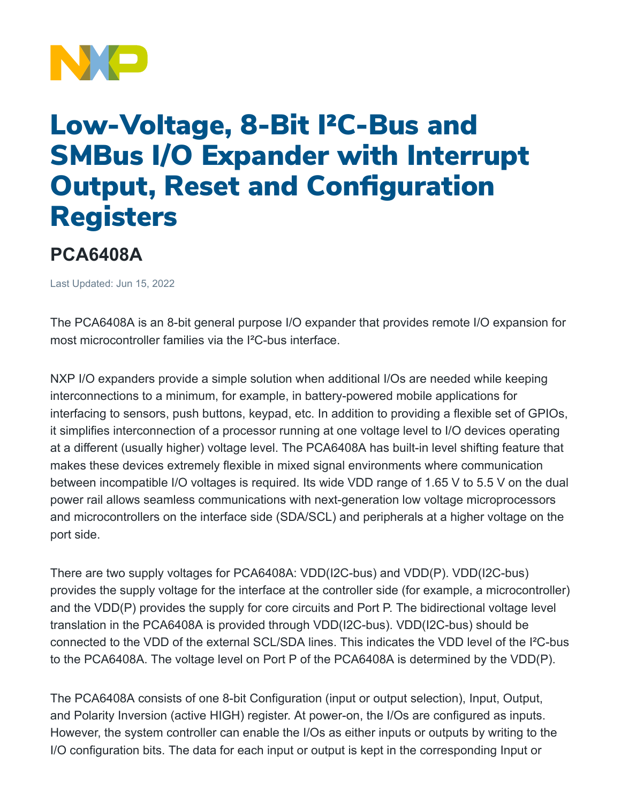

## Low-Voltage, 8-Bit I²C-Bus and SMBus I/O Expander with Interrupt Output, Reset and Configuration Registers

## **PCA6408A**

Last Updated: Jun 15, 2022

The PCA6408A is an 8-bit general purpose I/O expander that provides remote I/O expansion for most microcontroller families via the I²C-bus interface.

NXP I/O expanders provide a simple solution when additional I/Os are needed while keeping interconnections to a minimum, for example, in battery-powered mobile applications for interfacing to sensors, push buttons, keypad, etc. In addition to providing a flexible set of GPIOs, it simplifies interconnection of a processor running at one voltage level to I/O devices operating at a different (usually higher) voltage level. The PCA6408A has built-in level shifting feature that makes these devices extremely flexible in mixed signal environments where communication between incompatible I/O voltages is required. Its wide VDD range of 1.65 V to 5.5 V on the dual power rail allows seamless communications with next-generation low voltage microprocessors and microcontrollers on the interface side (SDA/SCL) and peripherals at a higher voltage on the port side.

There are two supply voltages for PCA6408A: VDD(I2C-bus) and VDD(P). VDD(I2C-bus) provides the supply voltage for the interface at the controller side (for example, a microcontroller) and the VDD(P) provides the supply for core circuits and Port P. The bidirectional voltage level translation in the PCA6408A is provided through VDD(I2C-bus). VDD(I2C-bus) should be connected to the VDD of the external SCL/SDA lines. This indicates the VDD level of the I²C-bus to the PCA6408A. The voltage level on Port P of the PCA6408A is determined by the VDD(P).

The PCA6408A consists of one 8-bit Configuration (input or output selection), Input, Output, and Polarity Inversion (active HIGH) register. At power-on, the I/Os are configured as inputs. However, the system controller can enable the I/Os as either inputs or outputs by writing to the I/O configuration bits. The data for each input or output is kept in the corresponding Input or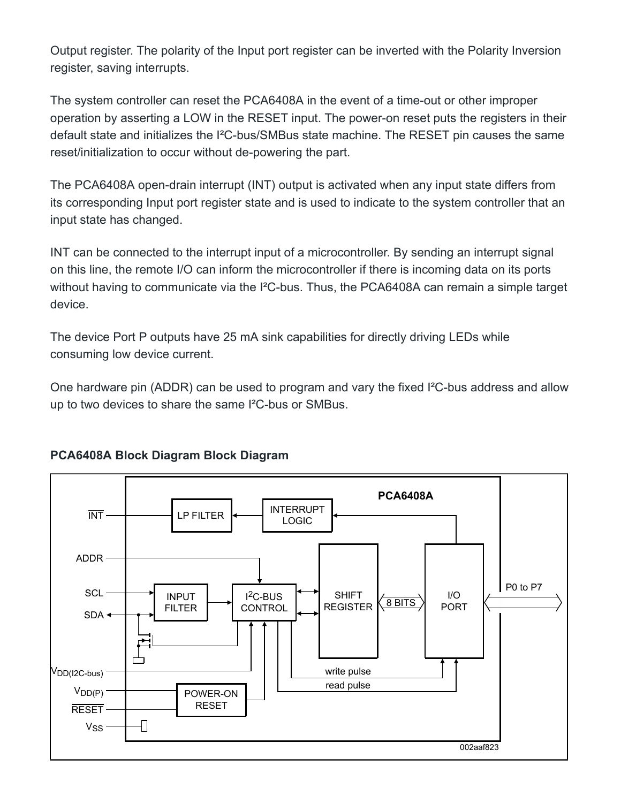Output register. The polarity of the Input port register can be inverted with the Polarity Inversion register, saving interrupts.

The system controller can reset the PCA6408A in the event of a time-out or other improper operation by asserting a LOW in the RESET input. The power-on reset puts the registers in their default state and initializes the I²C-bus/SMBus state machine. The RESET pin causes the same reset/initialization to occur without de-powering the part.

The PCA6408A open-drain interrupt (INT) output is activated when any input state differs from its corresponding Input port register state and is used to indicate to the system controller that an input state has changed.

INT can be connected to the interrupt input of a microcontroller. By sending an interrupt signal on this line, the remote I/O can inform the microcontroller if there is incoming data on its ports without having to communicate via the I<sup>2</sup>C-bus. Thus, the PCA6408A can remain a simple target device.

The device Port P outputs have 25 mA sink capabilities for directly driving LEDs while consuming low device current.

One hardware pin (ADDR) can be used to program and vary the fixed I²C-bus address and allow up to two devices to share the same I²C-bus or SMBus.



## **PCA6408A Block Diagram Block Diagram**